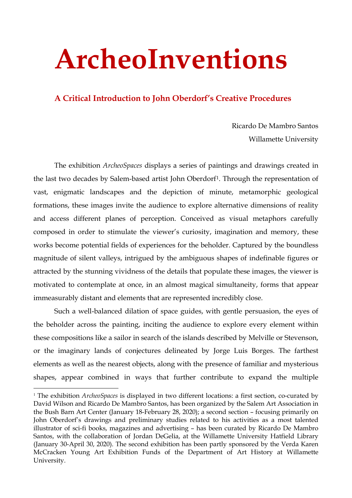## **ArcheoInventions**

## **A Critical Introduction to John Oberdorf's Creative Procedures**

Ricardo De Mambro Santos Willamette University

The exhibition *ArcheoSpaces* displays a series of paintings and drawings created in the last two decades by Salem-based artist John Oberdorf<sup>[1](#page-0-0)</sup>. Through the representation of vast, enigmatic landscapes and the depiction of minute, metamorphic geological formations, these images invite the audience to explore alternative dimensions of reality and access different planes of perception. Conceived as visual metaphors carefully composed in order to stimulate the viewer's curiosity, imagination and memory, these works become potential fields of experiences for the beholder. Captured by the boundless magnitude of silent valleys, intrigued by the ambiguous shapes of indefinable figures or attracted by the stunning vividness of the details that populate these images, the viewer is motivated to contemplate at once, in an almost magical simultaneity, forms that appear immeasurably distant and elements that are represented incredibly close.

Such a well-balanced dilation of space guides, with gentle persuasion, the eyes of the beholder across the painting, inciting the audience to explore every element within these compositions like a sailor in search of the islands described by Melville or Stevenson, or the imaginary lands of conjectures delineated by Jorge Luis Borges. The farthest elements as well as the nearest objects, along with the presence of familiar and mysterious shapes, appear combined in ways that further contribute to expand the multiple

<span id="page-0-0"></span> <sup>1</sup> The exhibition *ArcheoSpaces* is displayed in two different locations: a first section, co-curated by David Wilson and Ricardo De Mambro Santos, has been organized by the Salem Art Association in the Bush Barn Art Center (January 18-February 28, 2020); a second section – focusing primarily on John Oberdorf's drawings and preliminary studies related to his activities as a most talented illustrator of sci-fi books, magazines and advertising – has been curated by Ricardo De Mambro Santos, with the collaboration of Jordan DeGelia, at the Willamette University Hatfield Library (January 30-April 30, 2020). The second exhibition has been partly sponsored by the Verda Karen McCracken Young Art Exhibition Funds of the Department of Art History at Willamette University.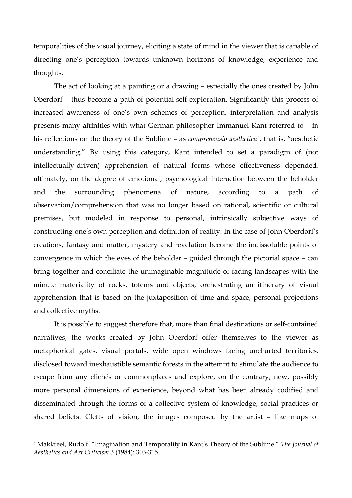temporalities of the visual journey, eliciting a state of mind in the viewer that is capable of directing one's perception towards unknown horizons of knowledge, experience and thoughts.

The act of looking at a painting or a drawing – especially the ones created by John Oberdorf – thus become a path of potential self-exploration. Significantly this process of increased awareness of one's own schemes of perception, interpretation and analysis presents many affinities with what German philosopher Immanuel Kant referred to – in his reflections on the theory of the Sublime – as *comprehensio aesthetica[2](#page-1-0)*, that is, "aesthetic understanding." By using this category, Kant intended to set a paradigm of (not intellectually-driven) apprehension of natural forms whose effectiveness depended, ultimately, on the degree of emotional, psychological interaction between the beholder and the surrounding phenomena of nature, according to a path of observation/comprehension that was no longer based on rational, scientific or cultural premises, but modeled in response to personal, intrinsically subjective ways of constructing one's own perception and definition of reality. In the case of John Oberdorf's creations, fantasy and matter, mystery and revelation become the indissoluble points of convergence in which the eyes of the beholder – guided through the pictorial space – can bring together and conciliate the unimaginable magnitude of fading landscapes with the minute materiality of rocks, totems and objects, orchestrating an itinerary of visual apprehension that is based on the juxtaposition of time and space, personal projections and collective myths.

It is possible to suggest therefore that, more than final destinations or self-contained narratives, the works created by John Oberdorf offer themselves to the viewer as metaphorical gates, visual portals, wide open windows facing uncharted territories, disclosed toward inexhaustible semantic forests in the attempt to stimulate the audience to escape from any clichés or commonplaces and explore, on the contrary, new, possibly more personal dimensions of experience, beyond what has been already codified and disseminated through the forms of a collective system of knowledge, social practices or shared beliefs. Clefts of vision, the images composed by the artist – like maps of

-

<span id="page-1-0"></span><sup>2</sup> Makkreel, Rudolf. "Imagination and Temporality in Kant's Theory of the Sublime." *The Journal of Aesthetics and Art Criticism* 3 (1984): 303-315.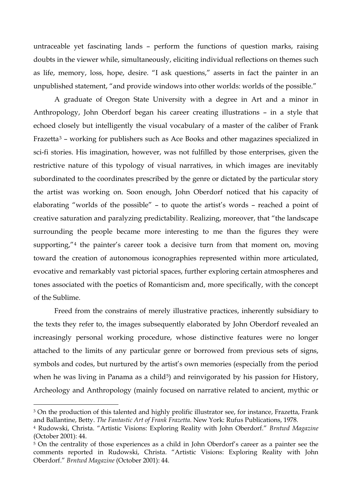untraceable yet fascinating lands – perform the functions of question marks, raising doubts in the viewer while, simultaneously, eliciting individual reflections on themes such as life, memory, loss, hope, desire. "I ask questions," asserts in fact the painter in an unpublished statement, "and provide windows into other worlds: worlds of the possible."

A graduate of Oregon State University with a degree in Art and a minor in Anthropology, John Oberdorf began his career creating illustrations – in a style that echoed closely but intelligently the visual vocabulary of a master of the caliber of Frank Frazetta[3](#page-2-0) – working for publishers such as Ace Books and other magazines specialized in sci-fi stories. His imagination, however, was not fulfilled by those enterprises, given the restrictive nature of this typology of visual narratives, in which images are inevitably subordinated to the coordinates prescribed by the genre or dictated by the particular story the artist was working on. Soon enough, John Oberdorf noticed that his capacity of elaborating "worlds of the possible" – to quote the artist's words – reached a point of creative saturation and paralyzing predictability. Realizing, moreover, that "the landscape surrounding the people became more interesting to me than the figures they were supporting,"<sup>[4](#page-2-1)</sup> the painter's career took a decisive turn from that moment on, moving toward the creation of autonomous iconographies represented within more articulated, evocative and remarkably vast pictorial spaces, further exploring certain atmospheres and tones associated with the poetics of Romanticism and, more specifically, with the concept of the Sublime.

Freed from the constrains of merely illustrative practices, inherently subsidiary to the texts they refer to, the images subsequently elaborated by John Oberdorf revealed an increasingly personal working procedure, whose distinctive features were no longer attached to the limits of any particular genre or borrowed from previous sets of signs, symbols and codes, but nurtured by the artist's own memories (especially from the period when he was living in Panama as a child<sup>[5](#page-2-2)</sup>) and reinvigorated by his passion for History, Archeology and Anthropology (mainly focused on narrative related to ancient, mythic or

-

<span id="page-2-0"></span><sup>&</sup>lt;sup>3</sup> On the production of this talented and highly prolific illustrator see, for instance, Frazetta, Frank and Ballantine, Betty. *The Fantastic Art of Frank Frazetta*. New York: Rufus Publications, 1978.

<span id="page-2-1"></span><sup>4</sup> Rudowski, Christa. "Artistic Visions: Exploring Reality with John Oberdorf." *Brntwd Magazine* (October 2001): 44.

<span id="page-2-2"></span><sup>&</sup>lt;sup>5</sup> On the centrality of those experiences as a child in John Oberdorf's career as a painter see the comments reported in Rudowski, Christa. "Artistic Visions: Exploring Reality with John Oberdorf." *Brntwd Magazine* (October 2001): 44.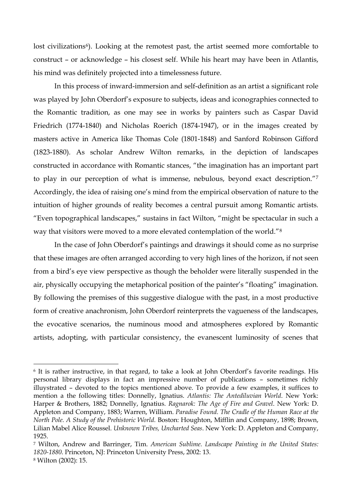lost civilizations<sup>[6](#page-3-0)</sup>). Looking at the remotest past, the artist seemed more comfortable to construct – or acknowledge – his closest self. While his heart may have been in Atlantis, his mind was definitely projected into a timelessness future.

In this process of inward-immersion and self-definition as an artist a significant role was played by John Oberdorf's exposure to subjects, ideas and iconographies connected to the Romantic tradition, as one may see in works by painters such as Caspar David Friedrich (1774-1840) and Nicholas Roerich (1874-1947), or in the images created by masters active in America like Thomas Cole (1801-1848) and Sanford Robinson Gifford (1823-1880). As scholar Andrew Wilton remarks, in the depiction of landscapes constructed in accordance with Romantic stances, "the imagination has an important part to play in our perception of what is immense, nebulous, beyond exact description.["7](#page-3-1) Accordingly, the idea of raising one's mind from the empirical observation of nature to the intuition of higher grounds of reality becomes a central pursuit among Romantic artists. "Even topographical landscapes," sustains in fact Wilton, "might be spectacular in such a way that visitors were moved to a more elevated contemplation of the world."[8](#page-3-2)

In the case of John Oberdorf's paintings and drawings it should come as no surprise that these images are often arranged according to very high lines of the horizon, if not seen from a bird's eye view perspective as though the beholder were literally suspended in the air, physically occupying the metaphorical position of the painter's "floating" imagination. By following the premises of this suggestive dialogue with the past, in a most productive form of creative anachronism, John Oberdorf reinterprets the vagueness of the landscapes, the evocative scenarios, the numinous mood and atmospheres explored by Romantic artists, adopting, with particular consistency, the evanescent luminosity of scenes that

<u>.</u>

<span id="page-3-0"></span><sup>6</sup> It is rather instructive, in that regard, to take a look at John Oberdorf's favorite readings. His personal library displays in fact an impressive number of publications – sometimes richly illuystrated – devoted to the topics mentioned above. To provide a few examples, it suffices to mention a the following titles: Donnelly, Ignatius. *Atlantis: The Antediluvian World*. New York: Harper & Brothers, 1882; Donnelly, Ignatius. *Ragnarok: The Age of Fire and Gravel*. New York: D. Appleton and Company, 1883; Warren, William. *Paradise Found. The Cradle of the Human Race at the North Pole. A Study of the Prehistoric World.* Boston: Houghton, Mifflin and Company, 1898; Brown, Lilian Mabel Alice Roussel. *Unknown Tribes, Uncharted Seas*. New York: D. Appleton and Company, 1925.

<span id="page-3-2"></span><span id="page-3-1"></span><sup>7</sup> Wilton, Andrew and Barringer, Tim. *American Sublime. Landscape Painting in the United States: 1820-1880*. Princeton, NJ: Princeton University Press, 2002: 13. <sup>8</sup> Wilton (2002): 15.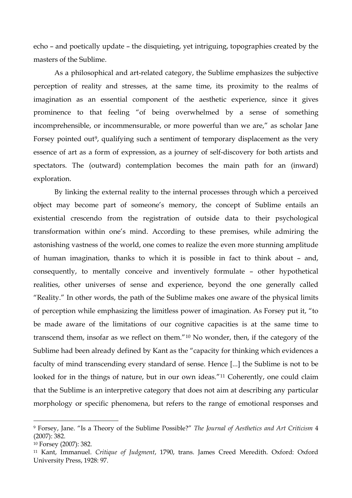echo – and poetically update – the disquieting, yet intriguing, topographies created by the masters of the Sublime.

As a philosophical and art-related category, the Sublime emphasizes the subjective perception of reality and stresses, at the same time, its proximity to the realms of imagination as an essential component of the aesthetic experience, since it gives prominence to that feeling "of being overwhelmed by a sense of something incomprehensible, or incommensurable, or more powerful than we are," as scholar Jane Forsey pointed out<sup>[9](#page-4-0)</sup>, qualifying such a sentiment of temporary displacement as the very essence of art as a form of expression, as a journey of self-discovery for both artists and spectators. The (outward) contemplation becomes the main path for an (inward) exploration.

By linking the external reality to the internal processes through which a perceived object may become part of someone's memory, the concept of Sublime entails an existential crescendo from the registration of outside data to their psychological transformation within one's mind. According to these premises, while admiring the astonishing vastness of the world, one comes to realize the even more stunning amplitude of human imagination, thanks to which it is possible in fact to think about – and, consequently, to mentally conceive and inventively formulate – other hypothetical realities, other universes of sense and experience, beyond the one generally called "Reality." In other words, the path of the Sublime makes one aware of the physical limits of perception while emphasizing the limitless power of imagination. As Forsey put it, "to be made aware of the limitations of our cognitive capacities is at the same time to transcend them, insofar as we reflect on them."[10](#page-4-1) No wonder, then, if the category of the Sublime had been already defined by Kant as the "capacity for thinking which evidences a faculty of mind transcending every standard of sense. Hence [...] the Sublime is not to be looked for in the things of nature, but in our own ideas."<sup>[11](#page-4-2)</sup> Coherently, one could claim that the Sublime is an interpretive category that does not aim at describing any particular morphology or specific phenomena, but refers to the range of emotional responses and

-

<span id="page-4-0"></span><sup>9</sup> Forsey, Jane. "Is a Theory of the Sublime Possible?" *The Journal of Aesthetics and Art Criticism* 4 (2007): 382.

<span id="page-4-1"></span><sup>10</sup> Forsey (2007): 382.

<span id="page-4-2"></span><sup>11</sup> Kant, Immanuel. *Critique of Judgment*, 1790, trans. James Creed Meredith. Oxford: Oxford University Press, 1928: 97.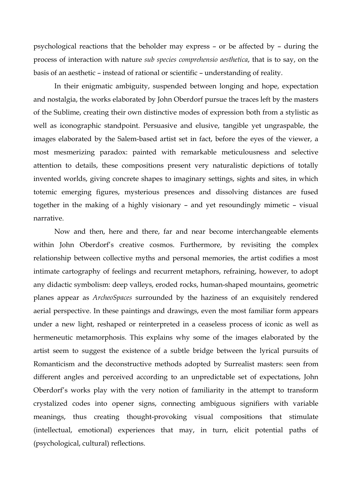psychological reactions that the beholder may express – or be affected by – during the process of interaction with nature *sub species comprehensio aesthetica*, that is to say, on the basis of an aesthetic – instead of rational or scientific – understanding of reality.

In their enigmatic ambiguity, suspended between longing and hope, expectation and nostalgia, the works elaborated by John Oberdorf pursue the traces left by the masters of the Sublime, creating their own distinctive modes of expression both from a stylistic as well as iconographic standpoint. Persuasive and elusive, tangible yet ungraspable, the images elaborated by the Salem-based artist set in fact, before the eyes of the viewer, a most mesmerizing paradox: painted with remarkable meticulousness and selective attention to details, these compositions present very naturalistic depictions of totally invented worlds, giving concrete shapes to imaginary settings, sights and sites, in which totemic emerging figures, mysterious presences and dissolving distances are fused together in the making of a highly visionary – and yet resoundingly mimetic – visual narrative.

Now and then, here and there, far and near become interchangeable elements within John Oberdorf's creative cosmos. Furthermore, by revisiting the complex relationship between collective myths and personal memories, the artist codifies a most intimate cartography of feelings and recurrent metaphors, refraining, however, to adopt any didactic symbolism: deep valleys, eroded rocks, human-shaped mountains, geometric planes appear as *ArcheoSpaces* surrounded by the haziness of an exquisitely rendered aerial perspective. In these paintings and drawings, even the most familiar form appears under a new light, reshaped or reinterpreted in a ceaseless process of iconic as well as hermeneutic metamorphosis. This explains why some of the images elaborated by the artist seem to suggest the existence of a subtle bridge between the lyrical pursuits of Romanticism and the deconstructive methods adopted by Surrealist masters: seen from different angles and perceived according to an unpredictable set of expectations, John Oberdorf's works play with the very notion of familiarity in the attempt to transform crystalized codes into opener signs, connecting ambiguous signifiers with variable meanings, thus creating thought-provoking visual compositions that stimulate (intellectual, emotional) experiences that may, in turn, elicit potential paths of (psychological, cultural) reflections.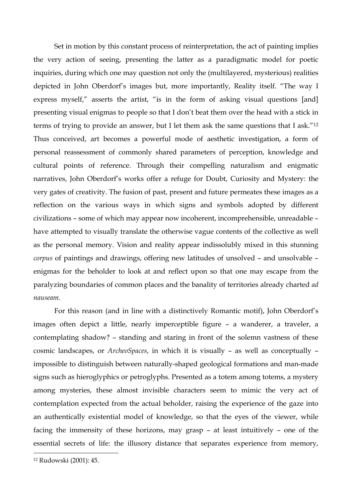Set in motion by this constant process of reinterpretation, the act of painting implies the very action of seeing, presenting the latter as a paradigmatic model for poetic inquiries, during which one may question not only the (multilayered, mysterious) realities depicted in John Oberdorf's images but, more importantly, Reality itself. "The way I express myself," asserts the artist, "is in the form of asking visual questions [and] presenting visual enigmas to people so that I don't beat them over the head with a stick in terms of trying to provide an answer, but I let them ask the same questions that I ask.["12](#page-6-0) Thus conceived, art becomes a powerful mode of aesthetic investigation, a form of personal reassessment of commonly shared parameters of perception, knowledge and cultural points of reference. Through their compelling naturalism and enigmatic narratives, John Oberdorf's works offer a refuge for Doubt, Curiosity and Mystery: the very gates of creativity. The fusion of past, present and future permeates these images as a reflection on the various ways in which signs and symbols adopted by different civilizations – some of which may appear now incoherent, incomprehensible, unreadable – have attempted to visually translate the otherwise vague contents of the collective as well as the personal memory. Vision and reality appear indissolubly mixed in this stunning *corpus* of paintings and drawings, offering new latitudes of unsolved – and unsolvable – enigmas for the beholder to look at and reflect upon so that one may escape from the paralyzing boundaries of common places and the banality of territories already charted *ad nauseam*.

For this reason (and in line with a distinctively Romantic motif), John Oberdorf's images often depict a little, nearly imperceptible figure – a wanderer, a traveler, a contemplating shadow? – standing and staring in front of the solemn vastness of these cosmic landscapes, or *ArcheoSpaces*, in which it is visually – as well as conceptually – impossible to distinguish between naturally-shaped geological formations and man-made signs such as hieroglyphics or petroglyphs. Presented as a totem among totems, a mystery among mysteries, these almost invisible characters seem to mimic the very act of contemplation expected from the actual beholder, raising the experience of the gaze into an authentically existential model of knowledge, so that the eyes of the viewer, while facing the immensity of these horizons, may grasp – at least intuitively – one of the essential secrets of life: the illusory distance that separates experience from memory,

<u>.</u>

<span id="page-6-0"></span><sup>12</sup> Rudowski (2001): 45.